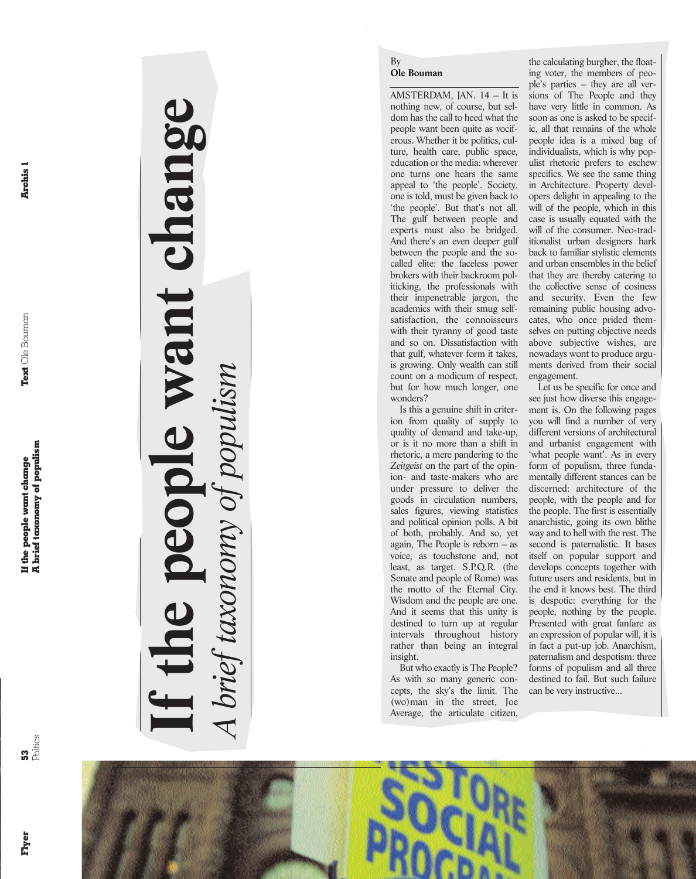Archis 1

**If the people want change**

ant chang

*A brief taxonomy of populism*

prieț taxa

# By **Ole Bouman**

AMSTERDAM, JAN. 14 – It is nothing new, of course, but seldom has the call to heed what the people want been quite as vociferous. Whether it be politics, culture, health care, public space, education or the media: wherever one turns one hears the same appeal to 'the people'. Society, one is told, must be given back to 'the people'. But that's not all. The gulf between people and experts must also be bridged. And there's an even deeper gulf between the people and the socalled elite: the faceless power brokers with their backroom politicking, the professionals with their impenetrable jargon, the academics with their smug selfsatisfaction, the connoisseurs with their tyranny of good taste and so on. Dissatisfaction with that gulf, whatever form it takes, is growing. Only wealth can still count on a modicum of respect, but for how much longer, one wonders?

Is this a genuine shift in criterion from quality of supply to quality of demand and take-up, or is it no more than a shift in rhetoric, a mere pandering to the *Zeitgeist* on the part of the opinion- and taste-makers who are under pressure to deliver the goods in circulation numbers, sales figures, viewing statistics and political opinion polls. A bit of both, probably. And so, yet again, The People is reborn – as voice, as touchstone and, not least, as target. S.P.Q.R. (the Senate and people of Rome) was the motto of the Eternal City. Wisdom and the people are one. And it seems that this unity is destined to turn up at regular intervals throughout history rather than being an integral insight.

But who exactly is The People? As with so many generic concepts, the sky's the limit. The (wo)man in the street, Joe Average, the articulate citizen,

the calculating burgher, the floating voter, the members of people's parties – they are all versions of The People and they have very little in common. As soon as one is asked to be specific, all that remains of the whole people idea is a mixed bag of individualists, which is why populist rhetoric prefers to eschew specifics. We see the same thing in Architecture. Property developers delight in appealing to the will of the people, which in this case is usually equated with the will of the consumer. Neo-traditionalist urban designers hark back to familiar stylistic elements and urban ensembles in the belief that they are thereby catering to the collective sense of cosiness and security. Even the few remaining public housing advocates, who once prided themselves on putting objective needs above subjective wishes, are nowadays wont to produce arguments derived from their social engagement.

Let us be specific for once and see just how diverse this engagement is. On the following pages you will find a number of very different versions of architectural and urbanist engagement with 'what people want'. As in every form of populism, three fundamentally different stances can be discerned: architecture of the people, with the people and for the people. The first is essentially anarchistic, going its own blithe way and to hell with the rest. The second is paternalistic. It bases itself on popular support and develops concepts together with future users and residents, but in the end it knows best. The third is despotic: everything for the people, nothing by the people. Presented with great fanfare as an expression of popular will, it is in fact a put-up job. Anarchism, paternalism and despotism: three forms of populism and all three destined to fail. But such failure can be very instructive...

**Flyer**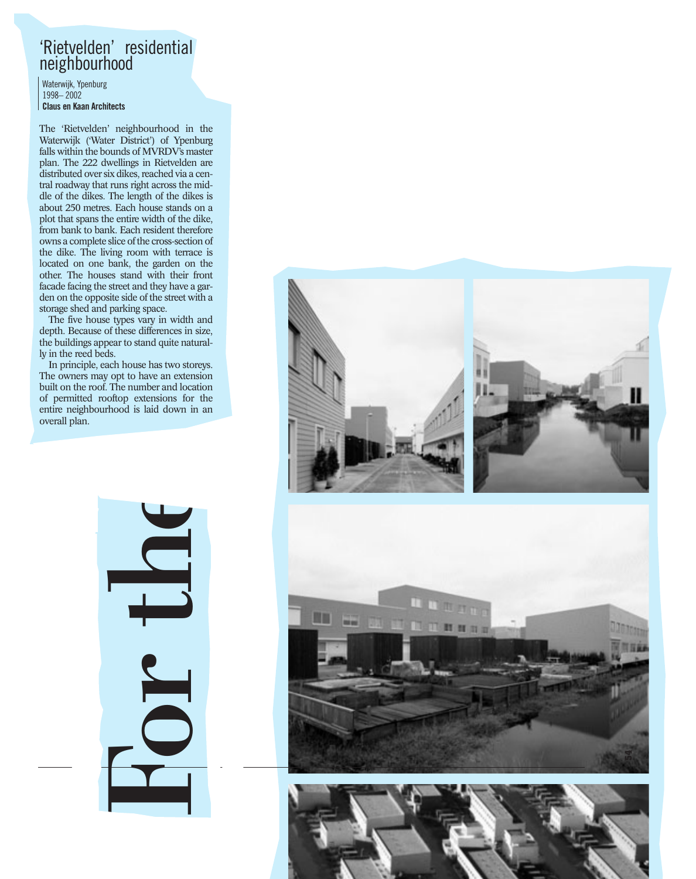### 'Rietvelden' residential neighbourhood

Waterwijk, Ypenburg 1998– 2002 **Claus en Kaan Architects**

The 'Rietvelden' neighbourhood in the Waterwijk ('Water District') of Ypenburg falls within the bounds of MVRDV's master plan. The 222 dwellings in Rietvelden are distributed over six dikes, reached via a central roadway that runs right across the middle of the dikes. The length of the dikes is about 250 metres. Each house stands on a plot that spans the entire width of the dike, from bank to bank. Each resident therefore owns a complete slice of the cross-section of the dike. The living room with terrace is located on one bank, the garden on the other. The houses stand with their front facade facing the street and they have a garden on the opposite side of the street with a storage shed and parking space.

The five house types vary in width and depth. Because of these differences in size, the buildings appear to stand quite naturally in the reed beds.

In principle, each house has two storeys. The owners may opt to have an extension built on the roof. The number and location of permitted rooftop extensions for the entire neighbourhood is laid down in an overall plan.



For the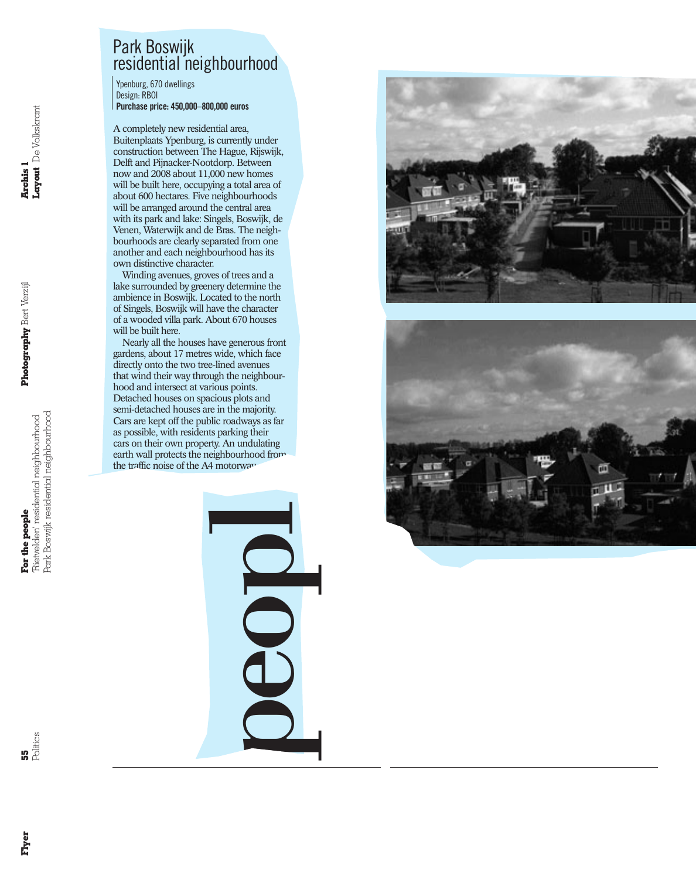## Park Boswijk residential neighbourhood

Ypenburg, 670 dwellings Design: RBOI **Purchase price: 450,000–800,000 euros**

A completely new residential area, Buitenplaats Ypenburg, is currently under construction between The Hague, Rijswijk, Delft and Pijnacker-Nootdorp. Between now and 2008 about 11,000 new homes will be built here, occupying a total area of about 600 hectares. Five neighbourhoods will be arranged around the central area with its park and lake: Singels, Boswijk, de Venen, Waterwijk and de Bras. The neighbourhoods are clearly separated from one another and each neighbourhood has its own distinctive character.

Winding avenues, groves of trees and a lake surrounded by greenery determine the ambience in Boswijk. Located to the north of Singels, Boswijk will have the character of a wooded villa park. About 670 houses will be built here.

Nearly all the houses have generous front gardens, about 17 metres wide, which face directly onto the two tree-lined avenues that wind their way through the neighbourhood and intersect at various points. Detached houses on spacious plots and semi-detached houses are in the majority. Cars are kept off the public roadways as far as possible, with residents parking their cars on their own property. An undulating earth wall protects the neighbourhood from the traffic noise of the A4 motorway.





people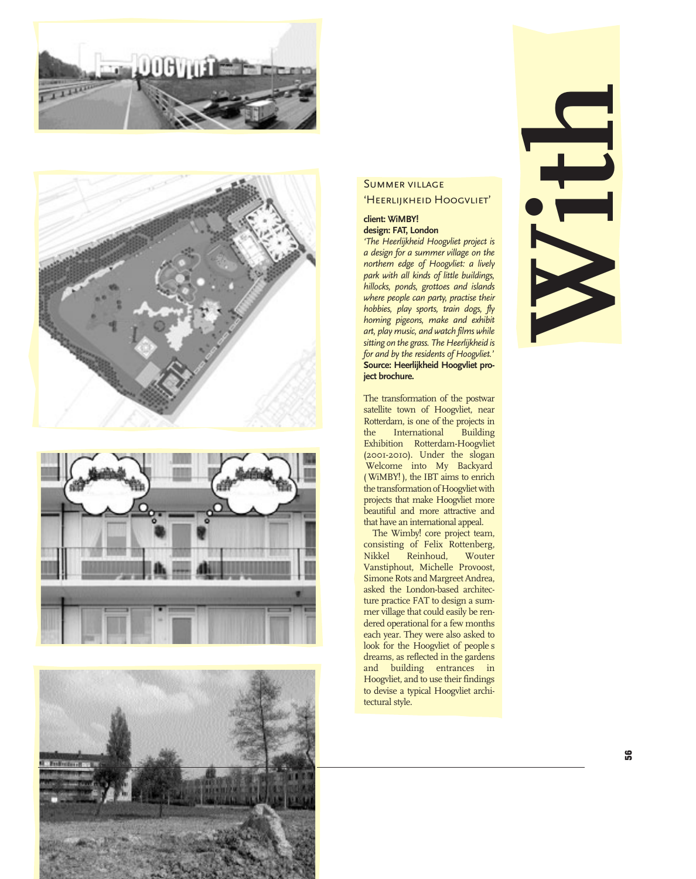







### Summer village

'Heerlijkheid Hoogvliet'

#### **client: WiMBY! design: FAT, London**

*'The Heerlijkheid Hoogvliet project is*

*a design for a summer village on the northern edge of Hoogvliet: a lively park with all kinds of little buildings, hillocks, ponds, grottoes and islands where people can party, practise their hobbies, play sports, train dogs, fly homing pigeons, make and exhibit art, play music, and watch films while sitting on the grass. The Heerlijkheid is for and by the residents of Hoogvliet.'* **Source: Heerlijkheid Hoogvliet project brochure.**

The transformation of the postwar satellite town of Hoogvliet, near Rotterdam, is one of the projects in the International Building Exhibition Rotterdam-Hoogvliet (2001-2010). Under the slogan Welcome into My Backyard ( WiMBY! ), the IBT aims to enrich the transformation of Hoogvliet with projects that make Hoogvliet more beautiful and more attractive and that have an international appeal.

The Wimby! core project team, consisting of Felix Rottenberg,<br>Nikkel Reinhoud, Wouter  $Reinhoud,$ Vanstiphout, Michelle Provoost, Simone Rots and Margreet Andrea, asked the London-based architecture practice FAT to design a summer village that could easily be rendered operational for a few months each year. They were also asked to look for the Hoogvliet of people s dreams, as reflected in the gardens and building entrances in Hoogvliet, and to use their findings to devise a typical Hoogvliet architectural style.

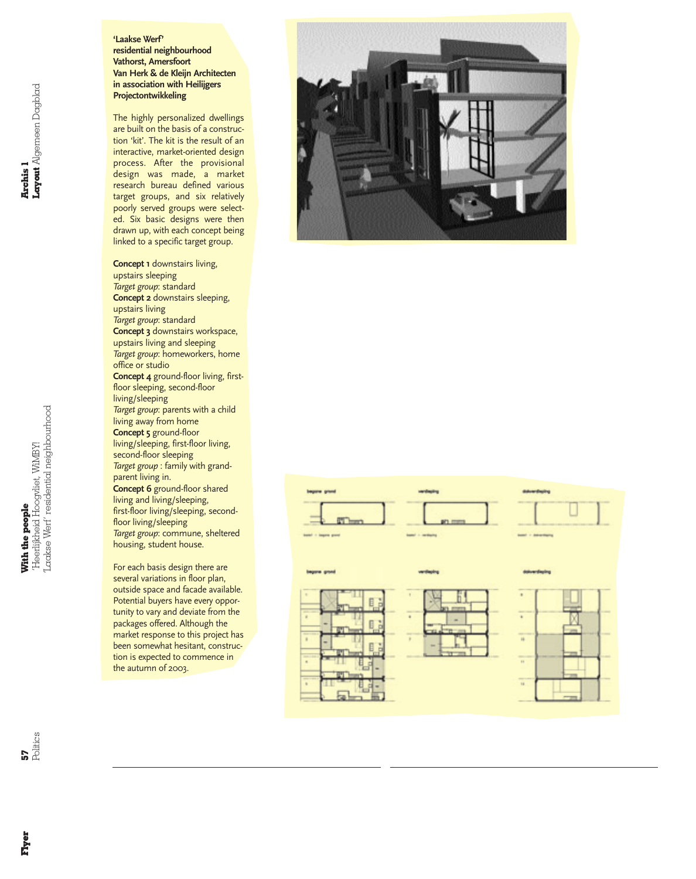#### **'Laakse Werf' residential neighbourhood Vathorst, Amersfoort Van Herk & de Kleijn Architecten in association with Heilijgers Projectontwikkeling**

The highly personalized dwellings are built on the basis of a construction 'kit'. The kit is the result of an interactive, market-oriented design process. After the provisional design was made, a market research bureau defined various target groups, and six relatively poorly served groups were selected. Six basic designs were then drawn up, with each concept being linked to a specific target group.

**Concept 1** downstairs living, upstairs sleeping *Target group*: standard **Concept 2** downstairs sleeping, upstairs living *Target group*: standard **Concept 3** downstairs workspace, upstairs living and sleeping *Target group*: homeworkers, home office or studio **Concept 4** ground-floor living, firstfloor sleeping, second-floor living/sleeping *Target group*: parents with a child living away from home **Concept 5** ground-floor living/sleeping, first-floor living, second-floor sleeping *Target group* : family with grandparent living in. **Concept 6** ground-floor shared living and living/sleeping, first-floor living/sleeping, secondfloor living/sleeping *Target group*: commune, sheltered housing, student house.

For each basis design there are several variations in floor plan, outside space and facade available. Potential buyers have every opportunity to vary and deviate from the packages offered. Although the market response to this project has been somewhat hesitant, construction is expected to commence in the autumn of 2003.



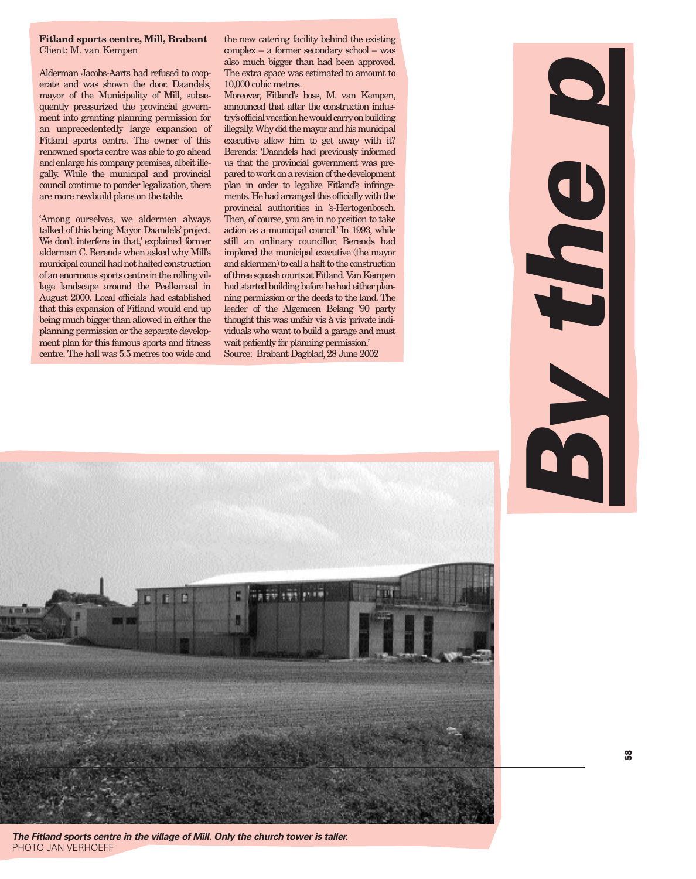#### **Fitland sports centre, Mill, Brabant** Client: M. van Kempen

Alderman Jacobs-Aarts had refused to cooperate and was shown the door. Daandels, mayor of the Municipality of Mill, subsequently pressurized the provincial government into granting planning permission for an unprecedentedly large expansion of Fitland sports centre. The owner of this renowned sports centre was able to go ahead and enlarge his company premises, albeit illegally. While the municipal and provincial council continue to ponder legalization, there are more newbuild plans on the table.

'Among ourselves, we aldermen always talked of this being Mayor Daandels' project. We don't interfere in that,' explained former alderman C. Berends when asked why Mill's municipal council had not halted construction of an enormous sports centre in the rolling village landscape around the Peelkanaal in August 2000. Local officials had established that this expansion of Fitland would end up being much bigger than allowed in either the planning permission or the separate development plan for this famous sports and fitness centre. The hall was 5.5 metres too wide and

the new catering facility behind the existing complex – a former secondary school – was also much bigger than had been approved. The extra space was estimated to amount to 10,000 cubic metres.

Moreover, Fitland's boss, M. van Kempen, announced that after the construction industry's official vacation he would carry on building illegally. Why did the mayor and his municipal executive allow him to get away with it? Berends: 'Daandels had previously informed us that the provincial government was prepared to work on a revision of the development plan in order to legalize Fitland's infringements. He had arranged this officially with the provincial authorities in 's-Hertogenbosch. Then, of course, you are in no position to take action as a municipal council.' In 1993, while still an ordinary councillor, Berends had implored the municipal executive (the mayor and aldermen) to call a halt to the construction of three squash courts at Fitland. Van Kempen had started building before he had either planning permission or the deeds to the land. The leader of the Algemeen Belang '90 party thought this was unfair vis à vis 'private individuals who want to build a garage and must wait patiently for planning permission.' Source: Brabant Dagblad,28 June 2002



*The Fitland sports centre in the village of Mill. Only the church tower is taller.* PHOTO JAN VERHOEFF

*By the p*